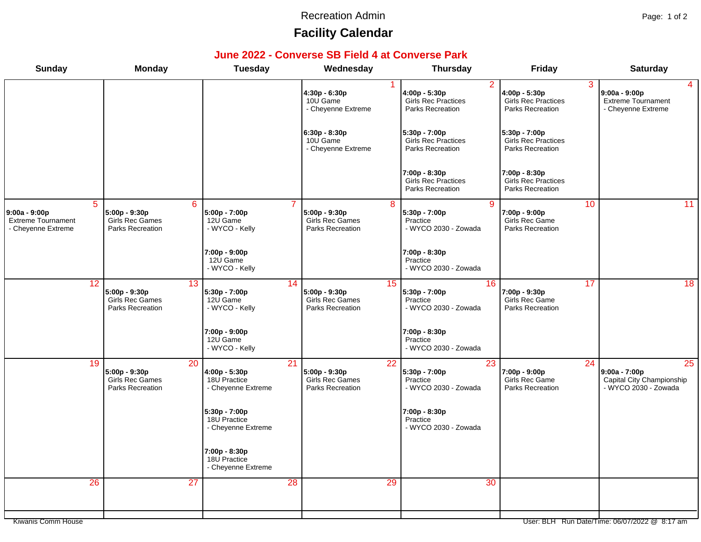#### Recreation Admin **Page: 1 of 2**

# **Facility Calendar**

#### **June 2022 - Converse SB Field 4 at Converse Park**

| <b>Sunday</b>                                                                      | <b>Monday</b>                                        | <b>Tuesday</b>                                                         | Wednesday                                                                      | <b>Thursday</b>                                                            | Friday                                                            | <b>Saturday</b>                                                                         |
|------------------------------------------------------------------------------------|------------------------------------------------------|------------------------------------------------------------------------|--------------------------------------------------------------------------------|----------------------------------------------------------------------------|-------------------------------------------------------------------|-----------------------------------------------------------------------------------------|
|                                                                                    |                                                      |                                                                        | 4:30p - 6:30p<br>10U Game<br>- Cheyenne Extreme                                | $\overline{2}$<br>4:00p - 5:30p<br>Girls Rec Practices<br>Parks Recreation | 3<br>$4:00p - 5:30p$<br>Girls Rec Practices<br>Parks Recreation   | $9:00a - 9:00p$<br><b>Extreme Tournament</b><br>- Cheyenne Extreme                      |
|                                                                                    |                                                      |                                                                        | $6:30p - 8:30p$<br>10U Game<br>- Cheyenne Extreme                              | $5:30p - 7:00p$<br><b>Girls Rec Practices</b><br>Parks Recreation          | $5:30p - 7:00p$<br><b>Girls Rec Practices</b><br>Parks Recreation |                                                                                         |
|                                                                                    |                                                      |                                                                        |                                                                                | 7:00p - 8:30p<br><b>Girls Rec Practices</b><br>Parks Recreation            | 7:00p - 8:30p<br><b>Girls Rec Practices</b><br>Parks Recreation   |                                                                                         |
| $\overline{5}$<br>9:00a - 9:00p<br><b>Extreme Tournament</b><br>- Cheyenne Extreme | 5:00p - 9:30p<br>Girls Rec Games<br>Parks Recreation | 6<br>5:00p - 7:00p<br>12U Game<br>- WYCO - Kelly                       | 5:00p - 9:30p<br><b>Girls Rec Games</b><br>Parks Recreation                    | 9<br>8<br>5:30p - 7:00p<br>Practice<br>- WYCO 2030 - Zowada                | 10<br>7:00p - 9:00p<br>Girls Rec Game<br>Parks Recreation         | 11                                                                                      |
|                                                                                    |                                                      | 7:00p - 9:00p<br>12U Game<br>- WYCO - Kelly                            |                                                                                | 7:00p - 8:30p<br>Practice<br>- WYCO 2030 - Zowada                          |                                                                   |                                                                                         |
| 12                                                                                 | 5:00p - 9:30p<br>Girls Rec Games<br>Parks Recreation | 13<br>5:30p - 7:00p<br>12U Game<br>- WYCO - Kelly                      | 14<br>5:00p - 9:30p<br>Girls Rec Games<br>Parks Recreation                     | 16<br>15<br>5:30p - 7:00p<br>Practice<br>- WYCO 2030 - Zowada              | 17<br>7:00p - 9:30p<br>Girls Rec Game<br>Parks Recreation         | 18                                                                                      |
|                                                                                    |                                                      | 7:00p - 9:00p<br>12U Game<br>- WYCO - Kelly                            |                                                                                | 7:00p - 8:30p<br>Practice<br>- WYCO 2030 - Zowada                          |                                                                   |                                                                                         |
| 19                                                                                 | 5:00p - 9:30p<br>Girls Rec Games<br>Parks Recreation | $\overline{20}$<br>4:00p - 5:30p<br>18U Practice<br>- Cheyenne Extreme | $\overline{21}$<br>5:00p - 9:30p<br><b>Girls Rec Games</b><br>Parks Recreation | 23<br>$\overline{22}$<br>5:30p - 7:00p<br>Practice<br>- WYCO 2030 - Zowada | 24<br>7:00p - 9:00p<br>Girls Rec Game<br>Parks Recreation         | $\overline{25}$<br>$9:00a - 7:00p$<br>Capital City Championship<br>- WYCO 2030 - Zowada |
|                                                                                    |                                                      | 5:30p - 7:00p<br>18U Practice<br>- Cheyenne Extreme                    |                                                                                | 7:00p - 8:30p<br>Practice<br>- WYCO 2030 - Zowada                          |                                                                   |                                                                                         |
|                                                                                    |                                                      | 7:00p - 8:30p<br>18U Practice<br>- Cheyenne Extreme                    |                                                                                |                                                                            |                                                                   |                                                                                         |
| $\overline{26}$                                                                    |                                                      | $\overline{27}$                                                        | $\overline{28}$                                                                | 29<br>30                                                                   |                                                                   |                                                                                         |
| Kiwanis Comm House                                                                 |                                                      |                                                                        |                                                                                |                                                                            |                                                                   | User: BLH Run Date/Time: 06/07/2022 @ 8:17 am                                           |